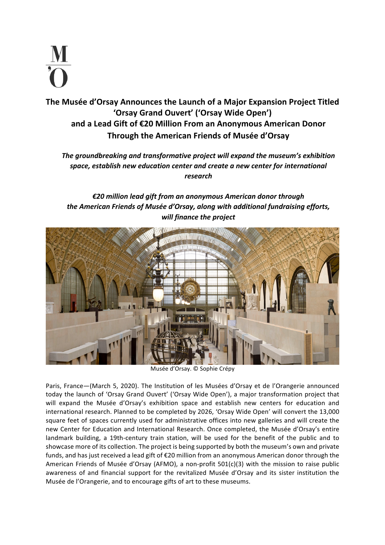

The Musée d'Orsay Announces the Launch of a Major Expansion Project Titled 'Orsay Grand Ouvert' ('Orsay Wide Open') and a Lead Gift of €20 Million From an Anonymous American Donor **Through the American Friends of Musée d'Orsay**

The groundbreaking and *transformative project* will expand the museum's exhibition space, establish new education center and create a new center for international *research*

# *€20 million lead gift from an anonymous American donor through*  the American Friends of Musée d'Orsay, along with additional fundraising efforts, *will finance the project*



Musée d'Orsay. © Sophie Crépy

Paris, France-(March 5, 2020). The Institution of les Musées d'Orsay et de l'Orangerie announced today the launch of 'Orsay Grand Ouvert' ('Orsay Wide Open'), a major transformation project that will expand the Musée d'Orsay's exhibition space and establish new centers for education and international research. Planned to be completed by 2026, 'Orsay Wide Open' will convert the 13,000 square feet of spaces currently used for administrative offices into new galleries and will create the new Center for Education and International Research. Once completed, the Musée d'Orsay's entire landmark building, a 19th-century train station, will be used for the benefit of the public and to showcase more of its collection. The project is being supported by both the museum's own and private funds, and has just received a lead gift of  $E$ 20 million from an anonymous American donor through the American Friends of Musée d'Orsay (AFMO), a non-profit  $501(c)(3)$  with the mission to raise public awareness of and financial support for the revitalized Musée d'Orsay and its sister institution the Musée de l'Orangerie, and to encourage gifts of art to these museums.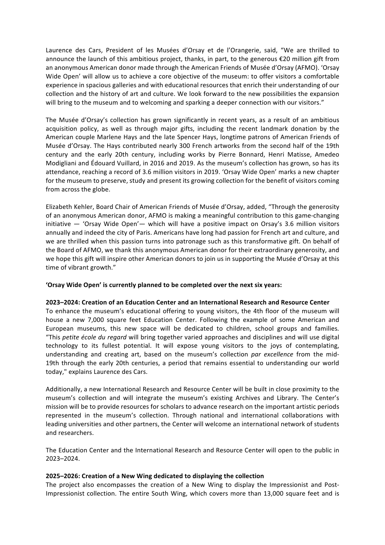Laurence des Cars, President of les Musées d'Orsay et de l'Orangerie, said, "We are thrilled to announce the launch of this ambitious project, thanks, in part, to the generous  $\epsilon$ 20 million gift from an anonymous American donor made through the American Friends of Musée d'Orsay (AFMO). 'Orsay Wide Open' will allow us to achieve a core objective of the museum: to offer visitors a comfortable experience in spacious galleries and with educational resources that enrich their understanding of our collection and the history of art and culture. We look forward to the new possibilities the expansion will bring to the museum and to welcoming and sparking a deeper connection with our visitors."

The Musée d'Orsay's collection has grown significantly in recent years, as a result of an ambitious acquisition policy, as well as through major gifts, including the recent landmark donation by the American couple Marlene Hays and the late Spencer Hays, longtime patrons of American Friends of Musée d'Orsay. The Hays contributed nearly 300 French artworks from the second half of the 19th century and the early 20th century, including works by Pierre Bonnard, Henri Matisse, Amedeo Modigliani and Édouard Vuillard, in 2016 and 2019. As the museum's collection has grown, so has its attendance, reaching a record of 3.6 million visitors in 2019. 'Orsay Wide Open' marks a new chapter for the museum to preserve, study and present its growing collection for the benefit of visitors coming from across the globe.

Elizabeth Kehler, Board Chair of American Friends of Musée d'Orsay, added, "Through the generosity of an anonymous American donor, AFMO is making a meaningful contribution to this game-changing initiative  $-$  'Orsay Wide Open'— which will have a positive impact on Orsay's 3.6 million visitors annually and indeed the city of Paris. Americans have long had passion for French art and culture, and we are thrilled when this passion turns into patronage such as this transformative gift. On behalf of the Board of AFMO, we thank this anonymous American donor for their extraordinary generosity, and we hope this gift will inspire other American donors to join us in supporting the Musée d'Orsay at this time of vibrant growth."

### **'Orsay Wide Open' is currently planned to be completed over the next six years:**

### **2023-2024: Creation of an Education Center and an International Research and Resource Center**

To enhance the museum's educational offering to young visitors, the 4th floor of the museum will house a new 7,000 square feet Education Center. Following the example of some American and European museums, this new space will be dedicated to children, school groups and families. "This petite école du regard will bring together varied approaches and disciplines and will use digital technology to its fullest potential. It will expose young visitors to the joys of contemplating, understanding and creating art, based on the museum's collection *par excellence* from the mid-19th through the early 20th centuries, a period that remains essential to understanding our world today," explains Laurence des Cars.

Additionally, a new International Research and Resource Center will be built in close proximity to the museum's collection and will integrate the museum's existing Archives and Library. The Center's mission will be to provide resources for scholars to advance research on the important artistic periods represented in the museum's collection. Through national and international collaborations with leading universities and other partners, the Center will welcome an international network of students and researchers.

The Education Center and the International Research and Resource Center will open to the public in 2023–2024.

### 2025-2026: Creation of a New Wing dedicated to displaying the collection

The project also encompasses the creation of a New Wing to display the Impressionist and Post-Impressionist collection. The entire South Wing, which covers more than 13,000 square feet and is